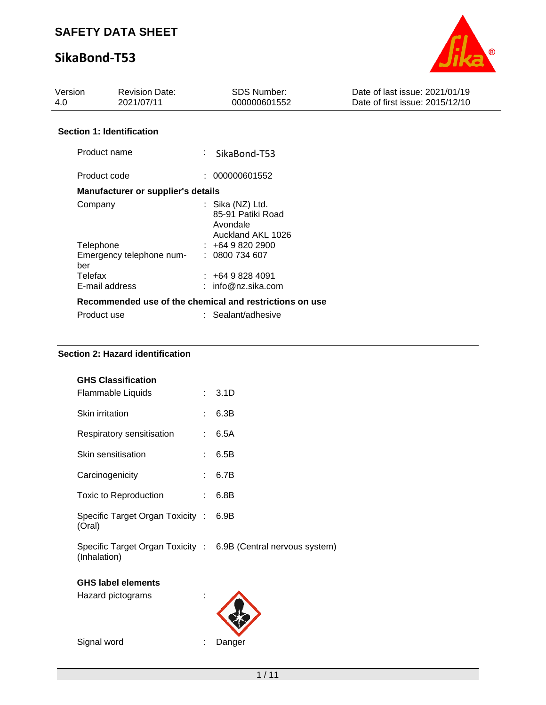# **SikaBond-T53**



| Version<br>4.0 | <b>Revision Date:</b><br>2021/07/11       | <b>SDS Number:</b><br>000000601552                                       | Date of last issue: 2021/01/19<br>Date of first issue: 2015/12/10 |
|----------------|-------------------------------------------|--------------------------------------------------------------------------|-------------------------------------------------------------------|
|                | <b>Section 1: Identification</b>          |                                                                          |                                                                   |
|                | Product name                              | $\mathcal{L}^{\mathcal{L}}$<br>SikaBond-T53                              |                                                                   |
|                | Product code                              | 000000601552                                                             |                                                                   |
|                | <b>Manufacturer or supplier's details</b> |                                                                          |                                                                   |
| Company        |                                           | : Sika $(NZ)$ Ltd.<br>85-91 Patiki Road<br>Avondale<br>Auckland AKL 1026 |                                                                   |
| Telephone      |                                           | $: +6498202900$                                                          |                                                                   |
| ber            | Emergency telephone num- : 0800 734 607   |                                                                          |                                                                   |
| Telefax        |                                           | $: +6498284091$                                                          |                                                                   |
|                | E-mail address                            | : $info@nz.sika.com$                                                     |                                                                   |
|                |                                           | Recommended use of the chemical and restrictions on use                  |                                                                   |
|                | Product use                               | : Sealant/adhesive                                                       |                                                                   |

### **Section 2: Hazard identification**

| <b>GHS Classification</b>                       |    |                                                                |
|-------------------------------------------------|----|----------------------------------------------------------------|
| Flammable Liquids                               |    | : 3.1D                                                         |
| <b>Skin irritation</b>                          | t. | 6.3B                                                           |
| Respiratory sensitisation                       | ÷. | 6.5A                                                           |
| Skin sensitisation                              | t. | 6.5B                                                           |
| Carcinogenicity                                 | t. | 6.7B                                                           |
| Toxic to Reproduction                           | t. | 6.8B                                                           |
| Specific Target Organ Toxicity : 6.9B<br>(Oral) |    |                                                                |
| (Inhalation)                                    |    | Specific Target Organ Toxicity : 6.9B (Central nervous system) |
| <b>GHS label elements</b><br>Hazard pictograms  |    |                                                                |

Signal word **: Danger** 

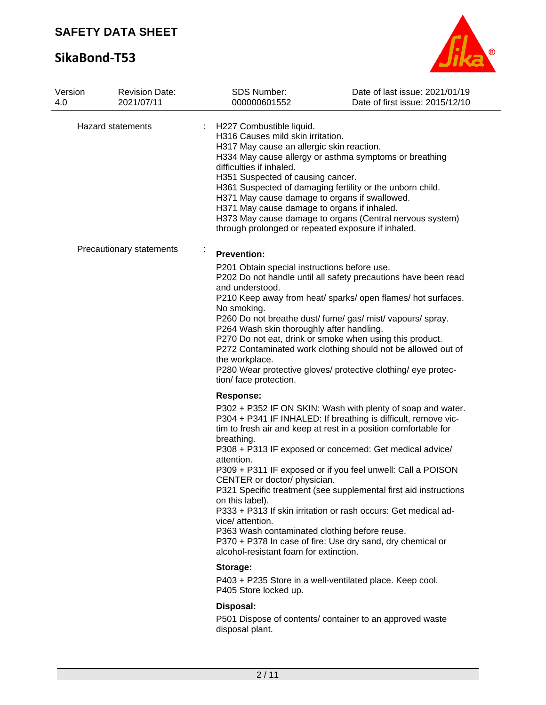

| Version<br>4.0 | <b>Revision Date:</b><br>2021/07/11 | <b>SDS Number:</b><br>000000601552                                                                                                                                                                                                                                                                                                                                                                                                                                                                                                                                                                                                                                                                                                                | Date of last issue: 2021/01/19<br>Date of first issue: 2015/12/10 |
|----------------|-------------------------------------|---------------------------------------------------------------------------------------------------------------------------------------------------------------------------------------------------------------------------------------------------------------------------------------------------------------------------------------------------------------------------------------------------------------------------------------------------------------------------------------------------------------------------------------------------------------------------------------------------------------------------------------------------------------------------------------------------------------------------------------------------|-------------------------------------------------------------------|
|                | <b>Hazard statements</b>            | H227 Combustible liquid.<br>H316 Causes mild skin irritation.<br>H317 May cause an allergic skin reaction.<br>H334 May cause allergy or asthma symptoms or breathing<br>difficulties if inhaled.<br>H351 Suspected of causing cancer.<br>H361 Suspected of damaging fertility or the unborn child.<br>H371 May cause damage to organs if swallowed.<br>H371 May cause damage to organs if inhaled.<br>H373 May cause damage to organs (Central nervous system)<br>through prolonged or repeated exposure if inhaled.                                                                                                                                                                                                                              |                                                                   |
|                | Precautionary statements            | <b>Prevention:</b><br>P201 Obtain special instructions before use.<br>P202 Do not handle until all safety precautions have been read<br>and understood.<br>P210 Keep away from heat/ sparks/ open flames/ hot surfaces.<br>No smoking.<br>P260 Do not breathe dust/ fume/ gas/ mist/ vapours/ spray.<br>P264 Wash skin thoroughly after handling.<br>P270 Do not eat, drink or smoke when using this product.<br>P272 Contaminated work clothing should not be allowed out of<br>the workplace.<br>P280 Wear protective gloves/ protective clothing/ eye protec-<br>tion/ face protection.                                                                                                                                                        |                                                                   |
|                |                                     | <b>Response:</b><br>P302 + P352 IF ON SKIN: Wash with plenty of soap and water.<br>P304 + P341 IF INHALED: If breathing is difficult, remove vic-<br>tim to fresh air and keep at rest in a position comfortable for<br>breathing.<br>P308 + P313 IF exposed or concerned: Get medical advice/<br>attention.<br>P309 + P311 IF exposed or if you feel unwell: Call a POISON<br>CENTER or doctor/ physician.<br>P321 Specific treatment (see supplemental first aid instructions<br>on this label).<br>P333 + P313 If skin irritation or rash occurs: Get medical ad-<br>vice/ attention.<br>P363 Wash contaminated clothing before reuse.<br>P370 + P378 In case of fire: Use dry sand, dry chemical or<br>alcohol-resistant foam for extinction. |                                                                   |
|                |                                     | Storage:<br>P403 + P235 Store in a well-ventilated place. Keep cool.<br>P405 Store locked up.<br>Disposal:<br>P501 Dispose of contents/ container to an approved waste<br>disposal plant.                                                                                                                                                                                                                                                                                                                                                                                                                                                                                                                                                         |                                                                   |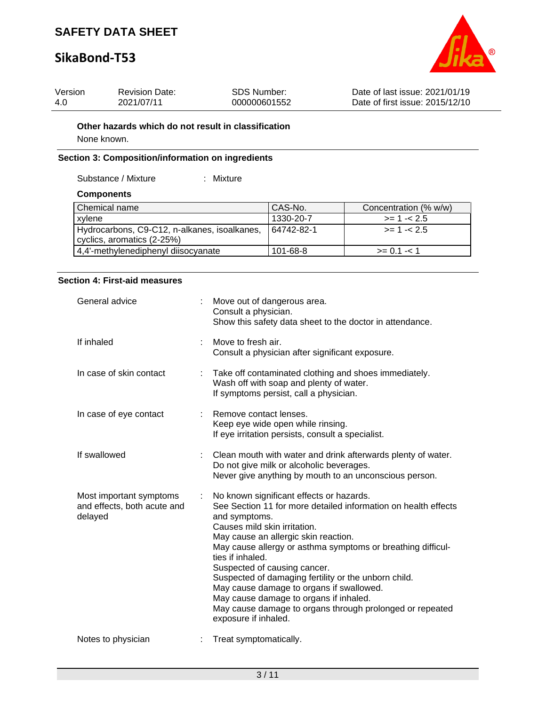# **SikaBond-T53**



| Version | <b>Revision Date:</b> | SDS Number:  | Date of last issue: 2021/01/19  |
|---------|-----------------------|--------------|---------------------------------|
| -4.0    | 2021/07/11            | 000000601552 | Date of first issue: 2015/12/10 |

**Other hazards which do not result in classification**

None known.

### **Section 3: Composition/information on ingredients**

Substance / Mixture : Mixture

#### **Components**

| Chemical name                                | CAS-No.    | Concentration (% w/w) |
|----------------------------------------------|------------|-----------------------|
| xylene                                       | 1330-20-7  | $>= 1 - 2.5$          |
| Hydrocarbons, C9-C12, n-alkanes, isoalkanes, | 64742-82-1 | $>= 1 - 2.5$          |
| cyclics, aromatics (2-25%)                   |            |                       |
| 4,4'-methylenediphenyl diisocyanate          | 101-68-8   | $>= 0.1 - 1.1$        |

#### **Section 4: First-aid measures**

| General advice                                                    |    | Move out of dangerous area.<br>Consult a physician.<br>Show this safety data sheet to the doctor in attendance.                                                                                                                                                                                                                                                                                                                                                                                                                                          |
|-------------------------------------------------------------------|----|----------------------------------------------------------------------------------------------------------------------------------------------------------------------------------------------------------------------------------------------------------------------------------------------------------------------------------------------------------------------------------------------------------------------------------------------------------------------------------------------------------------------------------------------------------|
| If inhaled                                                        |    | Move to fresh air.<br>Consult a physician after significant exposure.                                                                                                                                                                                                                                                                                                                                                                                                                                                                                    |
| In case of skin contact                                           |    | Take off contaminated clothing and shoes immediately.<br>Wash off with soap and plenty of water.<br>If symptoms persist, call a physician.                                                                                                                                                                                                                                                                                                                                                                                                               |
| In case of eye contact                                            |    | Remove contact lenses.<br>Keep eye wide open while rinsing.<br>If eye irritation persists, consult a specialist.                                                                                                                                                                                                                                                                                                                                                                                                                                         |
| If swallowed                                                      |    | Clean mouth with water and drink afterwards plenty of water.<br>Do not give milk or alcoholic beverages.<br>Never give anything by mouth to an unconscious person.                                                                                                                                                                                                                                                                                                                                                                                       |
| Most important symptoms<br>and effects, both acute and<br>delayed | ÷. | No known significant effects or hazards.<br>See Section 11 for more detailed information on health effects<br>and symptoms.<br>Causes mild skin irritation.<br>May cause an allergic skin reaction.<br>May cause allergy or asthma symptoms or breathing difficul-<br>ties if inhaled.<br>Suspected of causing cancer.<br>Suspected of damaging fertility or the unborn child.<br>May cause damage to organs if swallowed.<br>May cause damage to organs if inhaled.<br>May cause damage to organs through prolonged or repeated<br>exposure if inhaled. |
| Notes to physician                                                |    | Treat symptomatically.                                                                                                                                                                                                                                                                                                                                                                                                                                                                                                                                   |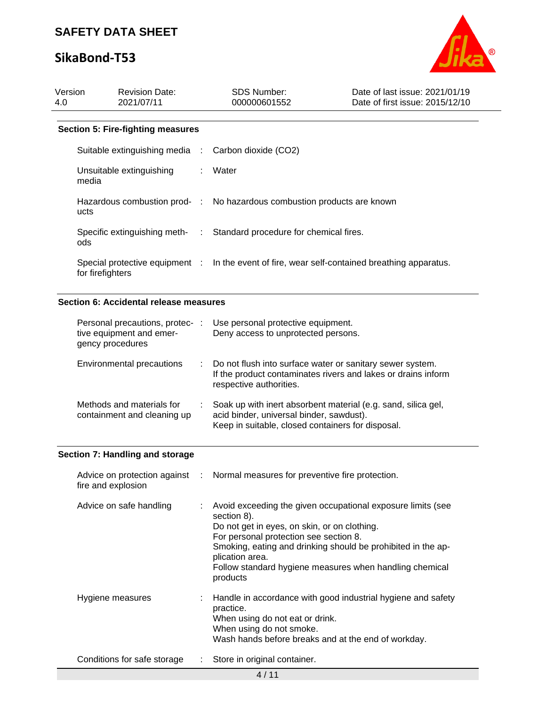

| Version<br>4.0                                       | <b>Revision Date:</b><br>2021/07/11                                             |                                                                                                                                                                | <b>SDS Number:</b><br>000000601552                                                                                                   | Date of last issue: 2021/01/19<br>Date of first issue: 2015/12/10                                                                                                                      |  |  |  |  |  |
|------------------------------------------------------|---------------------------------------------------------------------------------|----------------------------------------------------------------------------------------------------------------------------------------------------------------|--------------------------------------------------------------------------------------------------------------------------------------|----------------------------------------------------------------------------------------------------------------------------------------------------------------------------------------|--|--|--|--|--|
|                                                      | <b>Section 5: Fire-fighting measures</b>                                        |                                                                                                                                                                |                                                                                                                                      |                                                                                                                                                                                        |  |  |  |  |  |
|                                                      | Suitable extinguishing media                                                    | ÷                                                                                                                                                              | Carbon dioxide (CO2)                                                                                                                 |                                                                                                                                                                                        |  |  |  |  |  |
|                                                      | Unsuitable extinguishing<br>media                                               |                                                                                                                                                                | Water                                                                                                                                |                                                                                                                                                                                        |  |  |  |  |  |
|                                                      | Hazardous combustion prod- :<br>ucts                                            |                                                                                                                                                                | No hazardous combustion products are known                                                                                           |                                                                                                                                                                                        |  |  |  |  |  |
|                                                      | Specific extinguishing meth-<br>ods                                             | $\sim 100$                                                                                                                                                     | Standard procedure for chemical fires.                                                                                               |                                                                                                                                                                                        |  |  |  |  |  |
|                                                      | Special protective equipment :<br>for firefighters                              |                                                                                                                                                                |                                                                                                                                      | In the event of fire, wear self-contained breathing apparatus.                                                                                                                         |  |  |  |  |  |
|                                                      | Section 6: Accidental release measures                                          |                                                                                                                                                                |                                                                                                                                      |                                                                                                                                                                                        |  |  |  |  |  |
|                                                      | Personal precautions, protec- :<br>tive equipment and emer-<br>gency procedures |                                                                                                                                                                | Use personal protective equipment.<br>Deny access to unprotected persons.                                                            |                                                                                                                                                                                        |  |  |  |  |  |
| Environmental precautions<br>respective authorities. |                                                                                 | Do not flush into surface water or sanitary sewer system.<br>If the product contaminates rivers and lakes or drains inform                                     |                                                                                                                                      |                                                                                                                                                                                        |  |  |  |  |  |
|                                                      | Methods and materials for<br>containment and cleaning up                        | Soak up with inert absorbent material (e.g. sand, silica gel,<br>acid binder, universal binder, sawdust).<br>Keep in suitable, closed containers for disposal. |                                                                                                                                      |                                                                                                                                                                                        |  |  |  |  |  |
|                                                      | Section 7: Handling and storage                                                 |                                                                                                                                                                |                                                                                                                                      |                                                                                                                                                                                        |  |  |  |  |  |
|                                                      | Advice on protection against<br>fire and explosion                              |                                                                                                                                                                | Normal measures for preventive fire protection.                                                                                      |                                                                                                                                                                                        |  |  |  |  |  |
|                                                      | Advice on safe handling                                                         |                                                                                                                                                                | section 8).<br>Do not get in eyes, on skin, or on clothing.<br>For personal protection see section 8.<br>plication area.<br>products | Avoid exceeding the given occupational exposure limits (see<br>Smoking, eating and drinking should be prohibited in the ap-<br>Follow standard hygiene measures when handling chemical |  |  |  |  |  |
|                                                      | Hygiene measures                                                                |                                                                                                                                                                | practice.<br>When using do not eat or drink.<br>When using do not smoke.<br>Wash hands before breaks and at the end of workday.      | Handle in accordance with good industrial hygiene and safety                                                                                                                           |  |  |  |  |  |
|                                                      | Conditions for safe storage                                                     |                                                                                                                                                                | Store in original container.                                                                                                         |                                                                                                                                                                                        |  |  |  |  |  |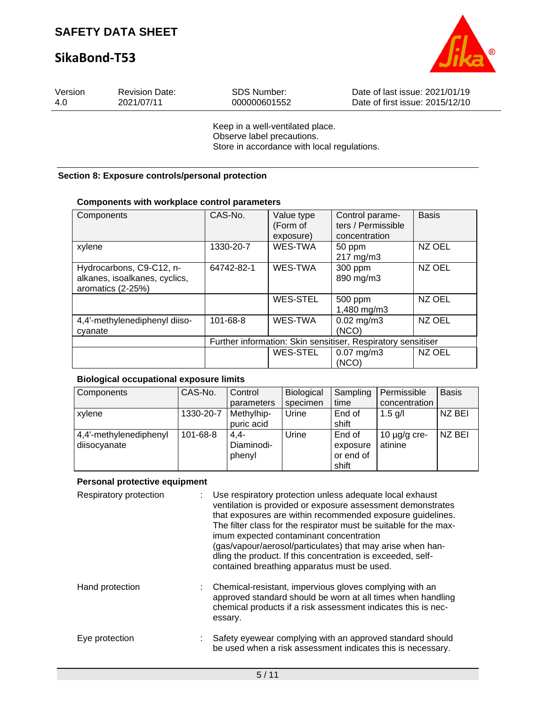# **SikaBond-T53**



| Version | <b>Revision Date:</b> | <b>SDS Number:</b> | Date of last issue: 2021/01/19  |
|---------|-----------------------|--------------------|---------------------------------|
| 4.0     | 2021/07/11            | 000000601552       | Date of first issue: 2015/12/10 |

Keep in a well-ventilated place. Observe label precautions. Store in accordance with local regulations.

### **Section 8: Exposure controls/personal protection**

### **Components with workplace control parameters**

| Components                                                                     | CAS-No.                                                      | Value type<br>(Form of<br>exposure) | Control parame-<br>ters / Permissible<br>concentration | <b>Basis</b> |
|--------------------------------------------------------------------------------|--------------------------------------------------------------|-------------------------------------|--------------------------------------------------------|--------------|
| xylene                                                                         | 1330-20-7                                                    | WES-TWA                             | 50 ppm<br>217 mg/m3                                    | NZ OEL       |
| Hydrocarbons, C9-C12, n-<br>alkanes, isoalkanes, cyclics,<br>aromatics (2-25%) | 64742-82-1                                                   | WES-TWA                             | 300 ppm<br>890 mg/m3                                   | NZ OEL       |
|                                                                                |                                                              | WES-STEL                            | 500 ppm<br>1,480 mg/m3                                 | NZ OEL       |
| 4,4'-methylenediphenyl diiso-<br>cyanate                                       | 101-68-8                                                     | WES-TWA                             | $0.02$ mg/m $3$<br>(NCO)                               | NZ OEL       |
|                                                                                | Further information: Skin sensitiser, Respiratory sensitiser |                                     |                                                        |              |
|                                                                                |                                                              | WES-STEL                            | $0.07$ mg/m $3$<br>(NCO)                               | NZ OEL       |

### **Biological occupational exposure limits**

| <b>Components</b>      | CAS-No.   | Control    | <b>Biological</b> | Sampling  | Permissible       | <b>Basis</b> |
|------------------------|-----------|------------|-------------------|-----------|-------------------|--------------|
|                        |           | parameters | specimen          | time      | concentration     |              |
| xylene                 | 1330-20-7 | Methylhip- | Urine             | End of    | 1.5 $q/l$         | NZ BEI       |
|                        |           | puric acid |                   | shift     |                   |              |
| 4,4'-methylenediphenyl | 101-68-8  | $4.4 -$    | Urine             | End of    | 10 $\mu$ g/g cre- | NZ BEI       |
| diisocyanate           |           | Diaminodi- |                   | exposure  | atinine           |              |
|                        |           | phenyl     |                   | or end of |                   |              |
|                        |           |            |                   | shift     |                   |              |

### **Personal protective equipment**

| Respiratory protection | Use respiratory protection unless adequate local exhaust<br>ventilation is provided or exposure assessment demonstrates<br>that exposures are within recommended exposure guidelines.<br>The filter class for the respirator must be suitable for the max-<br>imum expected contaminant concentration<br>(gas/vapour/aerosol/particulates) that may arise when han-<br>dling the product. If this concentration is exceeded, self-<br>contained breathing apparatus must be used. |
|------------------------|-----------------------------------------------------------------------------------------------------------------------------------------------------------------------------------------------------------------------------------------------------------------------------------------------------------------------------------------------------------------------------------------------------------------------------------------------------------------------------------|
| Hand protection        | Chemical-resistant, impervious gloves complying with an<br>approved standard should be worn at all times when handling<br>chemical products if a risk assessment indicates this is nec-<br>essary.                                                                                                                                                                                                                                                                                |
| Eye protection         | Safety eyewear complying with an approved standard should<br>be used when a risk assessment indicates this is necessary.                                                                                                                                                                                                                                                                                                                                                          |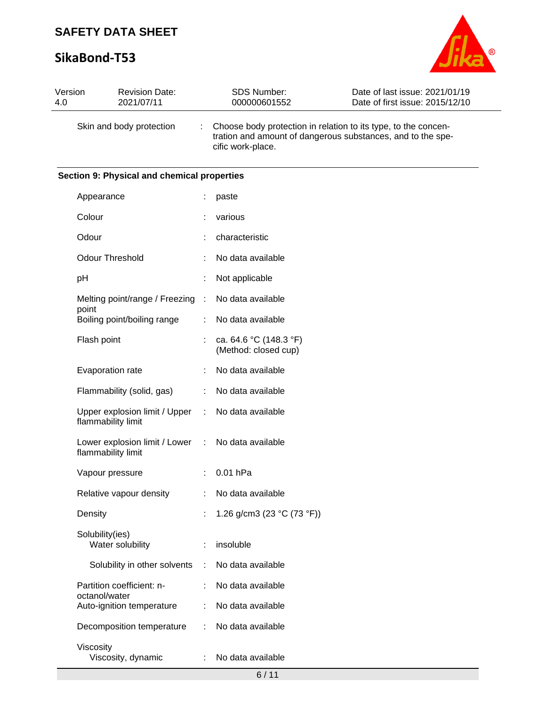

| Version<br>4.0 | <b>Revision Date:</b><br>2021/07/11                 |           | <b>SDS Number:</b><br>000000601552                                                                                                                 | Date of last issue: 2021/01/19<br>Date of first issue: 2015/12/10 |  |  |  |  |  |
|----------------|-----------------------------------------------------|-----------|----------------------------------------------------------------------------------------------------------------------------------------------------|-------------------------------------------------------------------|--|--|--|--|--|
|                | Skin and body protection                            | ÷         | Choose body protection in relation to its type, to the concen-<br>tration and amount of dangerous substances, and to the spe-<br>cific work-place. |                                                                   |  |  |  |  |  |
|                | Section 9: Physical and chemical properties         |           |                                                                                                                                                    |                                                                   |  |  |  |  |  |
|                | Appearance                                          |           | paste                                                                                                                                              |                                                                   |  |  |  |  |  |
|                | Colour                                              |           | various                                                                                                                                            |                                                                   |  |  |  |  |  |
|                | Odour                                               |           | characteristic                                                                                                                                     |                                                                   |  |  |  |  |  |
|                | <b>Odour Threshold</b>                              |           | No data available                                                                                                                                  |                                                                   |  |  |  |  |  |
|                | pH                                                  |           | Not applicable                                                                                                                                     |                                                                   |  |  |  |  |  |
|                | Melting point/range / Freezing<br>point             | $\cdot$ : | No data available                                                                                                                                  |                                                                   |  |  |  |  |  |
|                | Boiling point/boiling range                         |           | No data available                                                                                                                                  |                                                                   |  |  |  |  |  |
|                | Flash point                                         |           | ca. 64.6 °C (148.3 °F)<br>(Method: closed cup)                                                                                                     |                                                                   |  |  |  |  |  |
|                | Evaporation rate                                    |           | No data available                                                                                                                                  |                                                                   |  |  |  |  |  |
|                | Flammability (solid, gas)                           |           | No data available                                                                                                                                  |                                                                   |  |  |  |  |  |
|                | Upper explosion limit / Upper<br>flammability limit | ÷         | No data available                                                                                                                                  |                                                                   |  |  |  |  |  |
|                | Lower explosion limit / Lower<br>flammability limit | ÷         | No data available                                                                                                                                  |                                                                   |  |  |  |  |  |
|                | Vapour pressure                                     | ÷.        | 0.01 hPa                                                                                                                                           |                                                                   |  |  |  |  |  |
|                | Relative vapour density                             |           | No data available                                                                                                                                  |                                                                   |  |  |  |  |  |
|                | Density                                             |           | 1.26 g/cm3 (23 $°C$ (73 $°F$ ))                                                                                                                    |                                                                   |  |  |  |  |  |
|                | Solubility(ies)<br>Water solubility                 |           | insoluble                                                                                                                                          |                                                                   |  |  |  |  |  |
|                | Solubility in other solvents                        | ÷         | No data available                                                                                                                                  |                                                                   |  |  |  |  |  |
|                | Partition coefficient: n-<br>octanol/water          |           | No data available                                                                                                                                  |                                                                   |  |  |  |  |  |
|                | Auto-ignition temperature                           |           | No data available                                                                                                                                  |                                                                   |  |  |  |  |  |
|                | Decomposition temperature                           | ÷         | No data available                                                                                                                                  |                                                                   |  |  |  |  |  |
|                | Viscosity<br>Viscosity, dynamic                     |           | No data available                                                                                                                                  |                                                                   |  |  |  |  |  |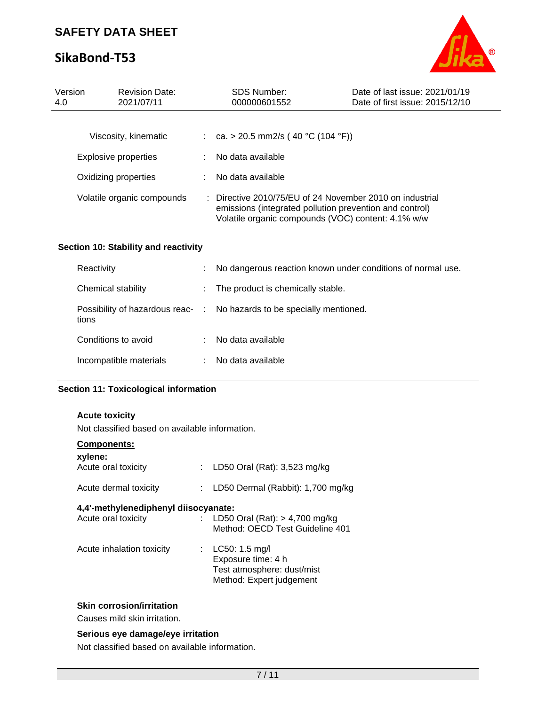# **SikaBond-T53**



| Version<br>4.0 | <b>Revision Date:</b><br>2021/07/11                                  |    | <b>SDS Number:</b><br>000000601552                                                                                                                                                   | Date of last issue: 2021/01/19<br>Date of first issue: 2015/12/10 |  |
|----------------|----------------------------------------------------------------------|----|--------------------------------------------------------------------------------------------------------------------------------------------------------------------------------------|-------------------------------------------------------------------|--|
|                | Viscosity, kinematic<br>Explosive properties<br>Oxidizing properties | ÷. | : ca. > 20.5 mm2/s (40 °C (104 °F))<br>No data available<br>No data available                                                                                                        |                                                                   |  |
|                | Volatile organic compounds                                           |    | $\therefore$ Directive 2010/75/EU of 24 November 2010 on industrial<br>emissions (integrated pollution prevention and control)<br>Volatile organic compounds (VOC) content: 4.1% w/w |                                                                   |  |
|                | Section 10: Stability and reactivity                                 |    |                                                                                                                                                                                      |                                                                   |  |
|                | Reactivity                                                           | ٠  | No dangerous reaction known under conditions of normal use.                                                                                                                          |                                                                   |  |

| Chemical stability     | : The product is chemically stable.                                    |
|------------------------|------------------------------------------------------------------------|
| tions                  | Possibility of hazardous reac- : No hazards to be specially mentioned. |
| Conditions to avoid    | No data available                                                      |
| Incompatible materials | No data available                                                      |
|                        |                                                                        |

## **Section 11: Toxicological information**

### **Acute toxicity**

Not classified based on available information.

| <b>Components:</b>                                          |                                                                                                  |
|-------------------------------------------------------------|--------------------------------------------------------------------------------------------------|
| xylene:<br>Acute oral toxicity                              | : LD50 Oral (Rat): $3,523$ mg/kg                                                                 |
| Acute dermal toxicity                                       | LD50 Dermal (Rabbit): 1,700 mg/kg                                                                |
| 4.4'-methylenediphenyl diisocyanate:<br>Acute oral toxicity | : LD50 Oral (Rat): $> 4,700$ mg/kg<br>Method: OECD Test Guideline 401                            |
| Acute inhalation toxicity                                   | : LC50: 1.5 mg/l<br>Exposure time: 4 h<br>Test atmosphere: dust/mist<br>Method: Expert judgement |

### **Skin corrosion/irritation**

Causes mild skin irritation.

### **Serious eye damage/eye irritation**

Not classified based on available information.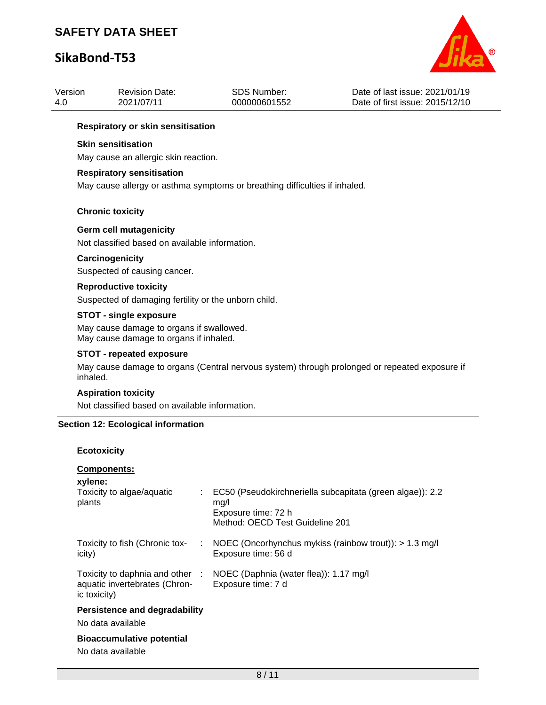

| Version<br>4.0 |                                                                                                                | <b>Revision Date:</b><br>2021/07/11                                                | <b>SDS Number:</b><br>000000601552 | Date of last issue: 2021/01/19<br>Date of first issue: 2015/12/10                             |  |  |  |  |
|----------------|----------------------------------------------------------------------------------------------------------------|------------------------------------------------------------------------------------|------------------------------------|-----------------------------------------------------------------------------------------------|--|--|--|--|
|                |                                                                                                                | <b>Respiratory or skin sensitisation</b>                                           |                                    |                                                                                               |  |  |  |  |
|                |                                                                                                                | <b>Skin sensitisation</b>                                                          |                                    |                                                                                               |  |  |  |  |
|                | May cause an allergic skin reaction.                                                                           |                                                                                    |                                    |                                                                                               |  |  |  |  |
|                | <b>Respiratory sensitisation</b><br>May cause allergy or asthma symptoms or breathing difficulties if inhaled. |                                                                                    |                                    |                                                                                               |  |  |  |  |
|                |                                                                                                                |                                                                                    |                                    |                                                                                               |  |  |  |  |
|                | <b>Chronic toxicity</b>                                                                                        |                                                                                    |                                    |                                                                                               |  |  |  |  |
|                |                                                                                                                | <b>Germ cell mutagenicity</b>                                                      |                                    |                                                                                               |  |  |  |  |
|                | Not classified based on available information.<br>Carcinogenicity                                              |                                                                                    |                                    |                                                                                               |  |  |  |  |
|                |                                                                                                                |                                                                                    |                                    |                                                                                               |  |  |  |  |
|                | Suspected of causing cancer.                                                                                   |                                                                                    |                                    |                                                                                               |  |  |  |  |
|                |                                                                                                                | <b>Reproductive toxicity</b>                                                       |                                    |                                                                                               |  |  |  |  |
|                |                                                                                                                | Suspected of damaging fertility or the unborn child.                               |                                    |                                                                                               |  |  |  |  |
|                |                                                                                                                | <b>STOT - single exposure</b>                                                      |                                    |                                                                                               |  |  |  |  |
|                |                                                                                                                | May cause damage to organs if swallowed.<br>May cause damage to organs if inhaled. |                                    |                                                                                               |  |  |  |  |
|                |                                                                                                                | <b>STOT - repeated exposure</b>                                                    |                                    |                                                                                               |  |  |  |  |
|                | inhaled.                                                                                                       |                                                                                    |                                    | May cause damage to organs (Central nervous system) through prolonged or repeated exposure if |  |  |  |  |
|                |                                                                                                                | <b>Aspiration toxicity</b>                                                         |                                    |                                                                                               |  |  |  |  |
|                |                                                                                                                | Not classified based on available information.                                     |                                    |                                                                                               |  |  |  |  |
|                |                                                                                                                | <b>Section 12: Ecological information</b>                                          |                                    |                                                                                               |  |  |  |  |
|                | <b>Ecotoxicity</b>                                                                                             |                                                                                    |                                    |                                                                                               |  |  |  |  |
|                | Components:                                                                                                    |                                                                                    |                                    |                                                                                               |  |  |  |  |
|                | xylene:                                                                                                        |                                                                                    |                                    |                                                                                               |  |  |  |  |

| xviene:<br>Toxicity to algae/aquatic<br>plants                                   | EC50 (Pseudokirchneriella subcapitata (green algae)): 2.2<br>mq/l<br>Exposure time: 72 h<br>Method: OECD Test Guideline 201 |
|----------------------------------------------------------------------------------|-----------------------------------------------------------------------------------------------------------------------------|
| Toxicity to fish (Chronic tox-<br>÷.<br>icity)                                   | NOEC (Oncorhynchus mykiss (rainbow trout)): $> 1.3$ mg/l<br>Exposure time: 56 d                                             |
| Toxicity to daphnia and other :<br>aquatic invertebrates (Chron-<br>ic toxicity) | NOEC (Daphnia (water flea)): 1.17 mg/l<br>Exposure time: 7 d                                                                |
| Persistence and degradability<br>No data available                               |                                                                                                                             |
| <b>Bioaccumulative potential</b><br>No data available                            |                                                                                                                             |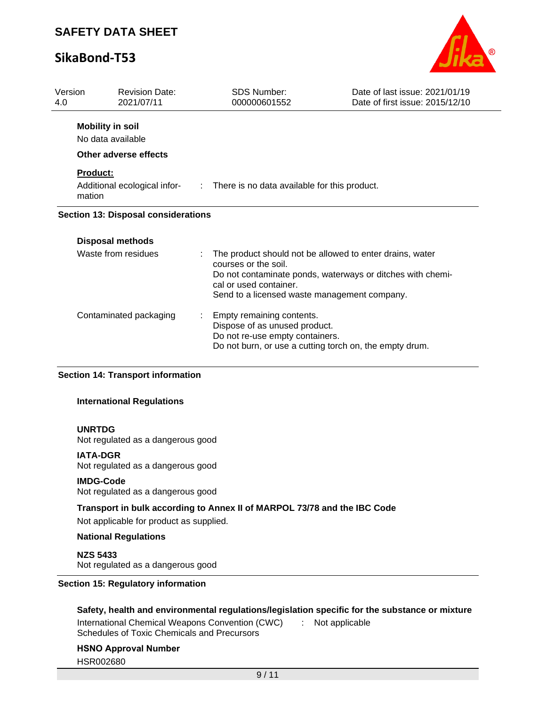## **SikaBond-T53**



| Version<br>4.0 | <b>Revision Date:</b><br>2021/07/11                                   |  | <b>SDS Number:</b><br>000000601552                                                             | Date of last issue: 2021/01/19<br>Date of first issue: 2015/12/10                                                      |  |  |
|----------------|-----------------------------------------------------------------------|--|------------------------------------------------------------------------------------------------|------------------------------------------------------------------------------------------------------------------------|--|--|
|                | <b>Mobility in soil</b><br>No data available<br>Other adverse effects |  |                                                                                                |                                                                                                                        |  |  |
|                | <b>Product:</b><br>Additional ecological infor-<br>mation             |  | : There is no data available for this product.                                                 |                                                                                                                        |  |  |
|                | <b>Section 13: Disposal considerations</b>                            |  |                                                                                                |                                                                                                                        |  |  |
|                | <b>Disposal methods</b>                                               |  |                                                                                                |                                                                                                                        |  |  |
|                | Waste from residues                                                   |  | courses or the soil.<br>cal or used container.<br>Send to a licensed waste management company. | The product should not be allowed to enter drains, water<br>Do not contaminate ponds, waterways or ditches with chemi- |  |  |
|                | Contaminated packaging                                                |  | Empty remaining contents.<br>Dispose of as unused product.<br>Do not re-use empty containers.  | Do not burn, or use a cutting torch on, the empty drum.                                                                |  |  |

#### **Section 14: Transport information**

#### **International Regulations**

**UNRTDG**

Not regulated as a dangerous good

#### **IATA-DGR**

Not regulated as a dangerous good

#### **IMDG-Code**

Not regulated as a dangerous good

### **Transport in bulk according to Annex II of MARPOL 73/78 and the IBC Code**

Not applicable for product as supplied.

#### **National Regulations**

**NZS 5433** Not regulated as a dangerous good

#### **Section 15: Regulatory information**

#### **Safety, health and environmental regulations/legislation specific for the substance or mixture**

International Chemical Weapons Convention (CWC) Schedules of Toxic Chemicals and Precursors : Not applicable

### **HSNO Approval Number** HSR002680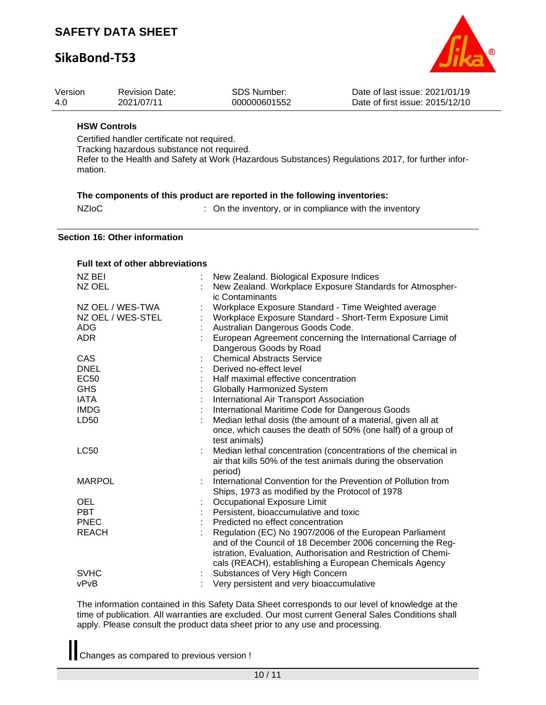## **SikaBond-T53**



| Version<br>4.0 | <b>Revision Date:</b><br>2021/07/11                                                                  | <b>SDS Number:</b><br>000000601552                                        | Date of last issue: 2021/01/19<br>Date of first issue: 2015/12/10                                  |
|----------------|------------------------------------------------------------------------------------------------------|---------------------------------------------------------------------------|----------------------------------------------------------------------------------------------------|
|                | <b>HSW Controls</b>                                                                                  |                                                                           |                                                                                                    |
|                | Certified handler certificate not required.<br>Tracking hazardous substance not required.<br>mation. |                                                                           | Refer to the Health and Safety at Work (Hazardous Substances) Regulations 2017, for further infor- |
|                |                                                                                                      | The components of this product are reported in the following inventories: |                                                                                                    |
|                | <b>NZIoC</b>                                                                                         | : On the inventory, or in compliance with the inventory                   |                                                                                                    |
|                | <b>Section 16: Other information</b>                                                                 |                                                                           |                                                                                                    |
|                | <b>Full text of other abbreviations</b>                                                              |                                                                           |                                                                                                    |
|                | NZ BEI                                                                                               | New Zealand. Biological Exposure Indices                                  |                                                                                                    |
|                | NZ OEL                                                                                               |                                                                           | New Zealand. Workplace Exposure Standards for Atmospher-                                           |
|                |                                                                                                      | ic Contaminants                                                           |                                                                                                    |
|                | NZ OEL / WES-TWA                                                                                     |                                                                           | Workplace Exposure Standard - Time Weighted average                                                |
|                | NZ OEL / WES-STEL                                                                                    |                                                                           | Workplace Exposure Standard - Short-Term Exposure Limit                                            |
| <b>ADG</b>     |                                                                                                      | Australian Dangerous Goods Code.                                          |                                                                                                    |
| <b>ADR</b>     |                                                                                                      |                                                                           | European Agreement concerning the International Carriage of                                        |
|                |                                                                                                      | Dangerous Goods by Road                                                   |                                                                                                    |
| CAS            |                                                                                                      | <b>Chemical Abstracts Service</b>                                         |                                                                                                    |
|                | <b>DNEL</b>                                                                                          | Derived no-effect level                                                   |                                                                                                    |
|                |                                                                                                      |                                                                           |                                                                                                    |
|                | <b>EC50</b>                                                                                          | Half maximal effective concentration                                      |                                                                                                    |
| <b>GHS</b>     |                                                                                                      | <b>Globally Harmonized System</b>                                         |                                                                                                    |
| <b>IATA</b>    |                                                                                                      | International Air Transport Association                                   |                                                                                                    |
|                | <b>IMDG</b>                                                                                          | International Maritime Code for Dangerous Goods                           |                                                                                                    |
|                | LD50                                                                                                 |                                                                           | Median lethal dosis (the amount of a material, given all at                                        |
|                |                                                                                                      |                                                                           | once, which causes the death of 50% (one half) of a group of                                       |
|                |                                                                                                      | test animals)                                                             |                                                                                                    |
|                | <b>LC50</b>                                                                                          |                                                                           | Median lethal concentration (concentrations of the chemical in                                     |
|                |                                                                                                      |                                                                           | air that kills 50% of the test animals during the observation                                      |
|                |                                                                                                      | period)                                                                   |                                                                                                    |
|                | <b>MARPOL</b>                                                                                        |                                                                           | International Convention for the Prevention of Pollution from                                      |
|                |                                                                                                      | Ships, 1973 as modified by the Protocol of 1978                           |                                                                                                    |
| <b>OEL</b>     |                                                                                                      | Occupational Exposure Limit                                               |                                                                                                    |
| <b>PBT</b>     |                                                                                                      | Persistent, bioaccumulative and toxic                                     |                                                                                                    |
|                | <b>PNEC</b>                                                                                          | Predicted no effect concentration                                         |                                                                                                    |
|                | <b>REACH</b>                                                                                         |                                                                           | Regulation (EC) No 1907/2006 of the European Parliament                                            |
|                |                                                                                                      |                                                                           | and of the Council of 18 December 2006 concerning the Reg-                                         |
|                |                                                                                                      |                                                                           | istration, Evaluation, Authorisation and Restriction of Chemi-                                     |
|                |                                                                                                      |                                                                           | cals (REACH), establishing a European Chemicals Agency                                             |
|                | <b>SVHC</b>                                                                                          | Substances of Very High Concern                                           |                                                                                                    |
|                |                                                                                                      |                                                                           |                                                                                                    |
|                | vPvB                                                                                                 | Very persistent and very bioaccumulative                                  |                                                                                                    |

SDS Number:

The information contained in this Safety Data Sheet corresponds to our level of knowledge at the time of publication. All warranties are excluded. Our most current General Sales Conditions shall apply. Please consult the product data sheet prior to any use and processing.

Changes as compared to previous version !